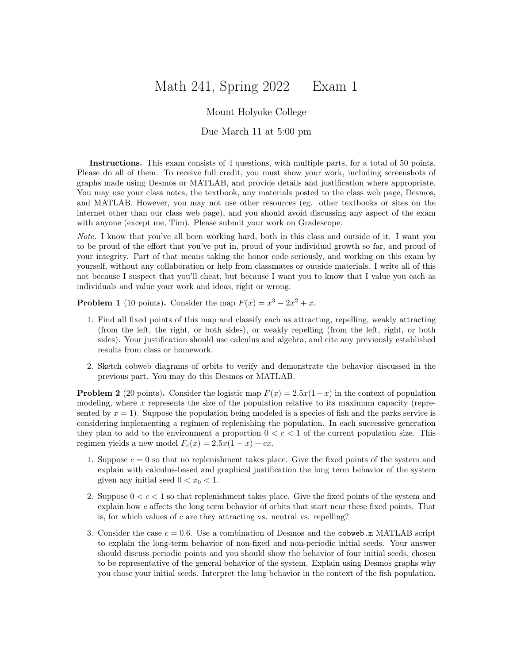## Math 241, Spring 2022 — Exam 1

## Mount Holyoke College

## Due March 11 at 5:00 pm

Instructions. This exam consists of 4 questions, with multiple parts, for a total of 50 points. Please do all of them. To receive full credit, you must show your work, including screenshots of graphs made using Desmos or MATLAB, and provide details and justification where appropriate. You may use your class notes, the textbook, any materials posted to the class web page, Desmos, and MATLAB. However, you may not use other resources (eg. other textbooks or sites on the internet other than our class web page), and you should avoid discussing any aspect of the exam with anyone (except me, Tim). Please submit your work on Gradescope.

Note. I know that you've all been working hard, both in this class and outside of it. I want you to be proud of the effort that you've put in, proud of your individual growth so far, and proud of your integrity. Part of that means taking the honor code seriously, and working on this exam by yourself, without any collaboration or help from classmates or outside materials. I write all of this not because I suspect that you'll cheat, but because I want you to know that I value you each as individuals and value your work and ideas, right or wrong.

**Problem 1** (10 points). Consider the map  $F(x) = x^3 - 2x^2 + x$ .

- 1. Find all fixed points of this map and classify each as attracting, repelling, weakly attracting (from the left, the right, or both sides), or weakly repelling (from the left, right, or both sides). Your justification should use calculus and algebra, and cite any previously established results from class or homework.
- 2. Sketch cobweb diagrams of orbits to verify and demonstrate the behavior discussed in the previous part. You may do this Desmos or MATLAB.

**Problem 2** (20 points). Consider the logistic map  $F(x) = 2.5x(1-x)$  in the context of population modeling, where x represents the size of the population relative to its maximum capacity (represented by  $x = 1$ ). Suppose the population being modeled is a species of fish and the parks service is considering implementing a regimen of replenishing the population. In each successive generation they plan to add to the environment a proportion  $0 < c < 1$  of the current population size. This regimen yields a new model  $F_c(x) = 2.5x(1-x) + cx$ .

- 1. Suppose  $c = 0$  so that no replenishment takes place. Give the fixed points of the system and explain with calculus-based and graphical justification the long term behavior of the system given any initial seed  $0 < x_0 < 1$ .
- 2. Suppose  $0 < c < 1$  so that replenishment takes place. Give the fixed points of the system and explain how c affects the long term behavior of orbits that start near these fixed points. That is, for which values of  $c$  are they attracting vs. neutral vs. repelling?
- 3. Consider the case  $c = 0.6$ . Use a combination of Desmos and the cobweb. m MATLAB script to explain the long-term behavior of non-fixed and non-periodic initial seeds. Your answer should discuss periodic points and you should show the behavior of four initial seeds, chosen to be representative of the general behavior of the system. Explain using Desmos graphs why you chose your initial seeds. Interpret the long behavior in the context of the fish population.